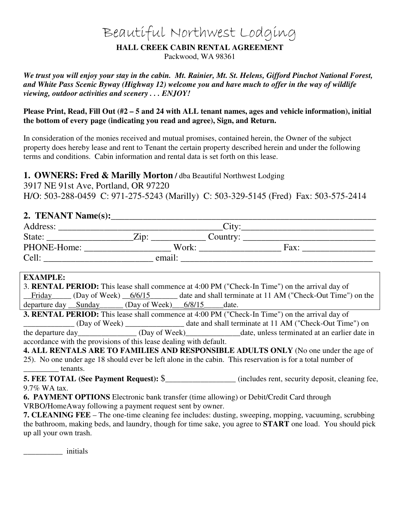# Beautiful Northwest Lodging

#### **HALL CREEK CABIN RENTAL AGREEMENT**

Packwood, WA 98361

*We trust you will enjoy your stay in the cabin. Mt. Rainier, Mt. St. Helens, Gifford Pinchot National Forest, and White Pass Scenic Byway (Highway 12) welcome you and have much to offer in the way of wildlife viewing, outdoor activities and scenery . . . ENJOY!* 

#### **Please Print, Read, Fill Out (#2 – 5 and 24 with ALL tenant names, ages and vehicle information), initial the bottom of every page (indicating you read and agree), Sign, and Return.**

In consideration of the monies received and mutual promises, contained herein, the Owner of the subject property does hereby lease and rent to Tenant the certain property described herein and under the following terms and conditions. Cabin information and rental data is set forth on this lease.

# **1. OWNERS: Fred & Marilly Morton /** dba Beautiful Northwest Lodging

3917 NE 91st Ave, Portland, OR 97220 H/O: 503-288-0459 C: 971-275-5243 (Marilly) C: 503-329-5145 (Fred) Fax: 503-575-2414

# **2. TENANT Name(s):**\_\_\_\_\_\_\_\_\_\_\_\_\_\_\_\_\_\_\_\_\_\_\_\_\_\_\_\_\_\_\_\_\_\_\_\_\_\_\_\_\_\_\_\_\_\_\_\_\_\_\_\_\_\_\_\_\_\_

| Address:    |        | Citv     |      |  |
|-------------|--------|----------|------|--|
| State:      | Zip:   | Country: |      |  |
| PHONE-Home: |        | Work:    | Fax: |  |
| Cell:       | email: |          |      |  |

# **EXAMPLE:**

| 3. <b>RENTAL PERIOD:</b> This lease shall commence at 4:00 PM ("Check-In Time") on the arrival day of |                                                                                                                 |                                                                                                     |  |  |                                                                                         |  |
|-------------------------------------------------------------------------------------------------------|-----------------------------------------------------------------------------------------------------------------|-----------------------------------------------------------------------------------------------------|--|--|-----------------------------------------------------------------------------------------|--|
|                                                                                                       |                                                                                                                 |                                                                                                     |  |  | Friday (Day of Week) 6/6/15 date and shall terminate at 11 AM ("Check-Out Time") on the |  |
|                                                                                                       | departure day Sunday (Day of Week) 6/8/15 date.                                                                 |                                                                                                     |  |  |                                                                                         |  |
| <b>3. RENTAL PERIOD:</b> This lease shall commence at 4:00 PM ("Check-In Time") on the arrival day of |                                                                                                                 |                                                                                                     |  |  |                                                                                         |  |
| the control of the control of the control of the control of                                           |                                                                                                                 |                                                                                                     |  |  | date and shall terminate at 11 AM ("Check-Out Time") on                                 |  |
|                                                                                                       | alian dia managaran dia any kaominina mpikambana amin'ny fivondronan-kaominin'i Amerika ao amin'ny fivondronan- | $(\mathbf{D} \cdot \mathbf{A} \cdot \mathbf{A} \cdot \mathbf{A} \cdot \mathbf{A} \cdot \mathbf{A})$ |  |  |                                                                                         |  |

the departure day\_\_\_\_\_\_\_\_\_\_\_\_\_\_\_ (Day of Week)\_\_\_\_\_\_\_\_\_\_\_\_\_\_date, unless terminated at an earlier date in accordance with the provisions of this lease dealing with default.

| $arccan$ when the provisions of this rease dealing with definity.                                          |  |
|------------------------------------------------------------------------------------------------------------|--|
| <b>4. ALL RENTALS ARE TO FAMILIES AND RESPONSIBLE ADULTS ONLY</b> (No one under the age of                 |  |
| 25). No one under age 18 should ever be left alone in the cabin. This reservation is for a total number of |  |
| tenants.<br>$\overline{\phantom{a}}$                                                                       |  |

**5. FEE TOTAL (See Payment Request):** \$\_\_\_\_\_\_\_\_\_\_\_\_\_\_\_\_\_\_ (includes rent, security deposit, cleaning fee, 9.7% WA tax.

**6. PAYMENT OPTIONS** Electronic bank transfer (time allowing) or Debit/Credit Card through VRBO/HomeAway following a payment request sent by owner.

**7. CLEANING FEE** – The one-time cleaning fee includes: dusting, sweeping, mopping, vacuuming, scrubbing the bathroom, making beds, and laundry, though for time sake, you agree to **START** one load. You should pick up all your own trash.

\_\_\_\_\_\_\_\_\_\_ initials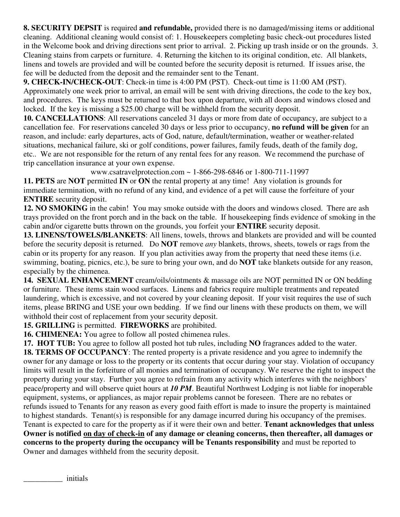**8. SECURITY DEPSIT** is required **and refundable,** provided there is no damaged/missing items or additional cleaning. Additional cleaning would consist of: 1. Housekeepers completing basic check-out procedures listed in the Welcome book and driving directions sent prior to arrival. 2. Picking up trash inside or on the grounds. 3. Cleaning stains from carpets or furniture. 4. Returning the kitchen to its original condition, etc. All blankets, linens and towels are provided and will be counted before the security deposit is returned. If issues arise, the fee will be deducted from the deposit and the remainder sent to the Tenant.

**9. CHECK-IN/CHECK-OUT**: Check-in time is 4:00 PM (PST). Check-out time is 11:00 AM (PST). Approximately one week prior to arrival, an email will be sent with driving directions, the code to the key box, and procedures. The keys must be returned to that box upon departure, with all doors and windows closed and locked. If the key is missing a \$25.00 charge will be withheld from the security deposit.

**10. CANCELLATIONS**: All reservations canceled 31 days or more from date of occupancy, are subject to a cancellation fee. For reservations canceled 30 days or less prior to occupancy, **no refund will be given** for an reason, and include: early departures, acts of God, nature, default/termination, weather or weather-related situations, mechanical failure, ski or golf conditions, power failures, family feuds, death of the family dog, etc.. We are not responsible for the return of any rental fees for any reason. We recommend the purchase of trip cancellation insurance at your own expense.

www.csatravelprotection.com ~ 1-866-298-6846 or 1-800-711-11997

**11. PETS** are **NOT** permitted **IN** or **ON** the rental property at any time! Any violation is grounds for immediate termination, with no refund of any kind, and evidence of a pet will cause the forfeiture of your **ENTIRE** security deposit.

**12. NO SMOKING** in the cabin! You may smoke outside with the doors and windows closed. There are ash trays provided on the front porch and in the back on the table. If housekeeping finds evidence of smoking in the cabin and/or cigarette butts thrown on the grounds, you forfeit your **ENTIRE** security deposit.

**13. LINENS/TOWELS/BLANKETS**: All linens, towels, throws and blankets are provided and will be counted before the security deposit is returned. Do **NOT** remove *any* blankets, throws, sheets, towels or rags from the cabin or its property for any reason. If you plan activities away from the property that need these items (i.e. swimming, boating, picnics, etc.), be sure to bring your own, and do **NOT** take blankets outside for any reason, especially by the chimenea.

**14. SEXUAL ENHANCEMENT** cream/oils/ointments & massage oils are NOT permitted IN or ON bedding or furniture. These items stain wood surfaces. Linens and fabrics require multiple treatments and repeated laundering, which is excessive, and not covered by your cleaning deposit. If your visit requires the use of such items, please BRING and USE your own bedding. If we find our linens with these products on them, we will withhold their cost of replacement from your security deposit.

**15. GRILLING** is permitted. **FIREWORKS** are prohibited.

**16. CHIMENEA:** You agree to follow all posted chimenea rules.

**17. HOT TUB:** You agree to follow all posted hot tub rules, including **NO** fragrances added to the water. **18. TERMS OF OCCUPANCY**: The rented property is a private residence and you agree to indemnify the owner for any damage or loss to the property or its contents that occur during your stay. Violation of occupancy limits will result in the forfeiture of all monies and termination of occupancy. We reserve the right to inspect the property during your stay. Further you agree to refrain from any activity which interferes with the neighbors' peace/property and will observe quiet hours at *10 PM*. Beautiful Northwest Lodging is not liable for inoperable equipment, systems, or appliances, as major repair problems cannot be foreseen. There are no rebates or refunds issued to Tenants for any reason as every good faith effort is made to insure the property is maintained to highest standards. Tenant(s) is responsible for any damage incurred during his occupancy of the premises. Tenant is expected to care for the property as if it were their own and better. **Tenant acknowledges that unless Owner is notified on day of check-in of any damage or cleaning concerns, then thereafter, all damages or concerns to the property during the occupancy will be Tenants responsibility** and must be reported to Owner and damages withheld from the security deposit.

\_\_\_\_\_\_\_\_\_\_ initials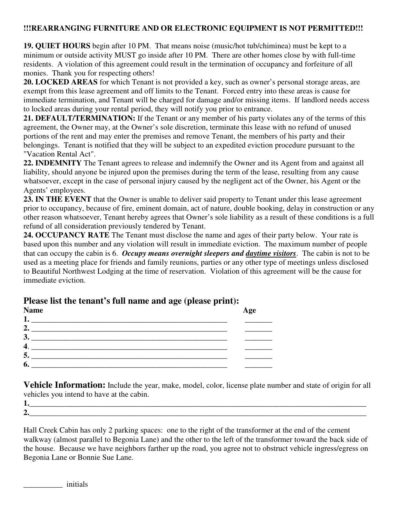#### **!!!REARRANGING FURNITURE AND OR ELECTRONIC EQUIPMENT IS NOT PERMITTED!!!**

**19. QUIET HOURS** begin after 10 PM. That means noise (music/hot tub/chiminea) must be kept to a minimum or outside activity MUST go inside after 10 PM. There are other homes close by with full-time residents. A violation of this agreement could result in the termination of occupancy and forfeiture of all monies. Thank you for respecting others!

**20. LOCKED AREAS** for which Tenant is not provided a key, such as owner's personal storage areas, are exempt from this lease agreement and off limits to the Tenant. Forced entry into these areas is cause for immediate termination, and Tenant will be charged for damage and/or missing items. If landlord needs access to locked areas during your rental period, they will notify you prior to entrance.

**21. DEFAULT/TERMINATION:** If the Tenant or any member of his party violates any of the terms of this agreement, the Owner may, at the Owner's sole discretion, terminate this lease with no refund of unused portions of the rent and may enter the premises and remove Tenant, the members of his party and their belongings. Tenant is notified that they will be subject to an expedited eviction procedure pursuant to the "Vacation Rental Act".

**22. INDEMNITY** The Tenant agrees to release and indemnify the Owner and its Agent from and against all liability, should anyone be injured upon the premises during the term of the lease, resulting from any cause whatsoever, except in the case of personal injury caused by the negligent act of the Owner, his Agent or the Agents' employees.

**23. IN THE EVENT** that the Owner is unable to deliver said property to Tenant under this lease agreement prior to occupancy, because of fire, eminent domain, act of nature, double booking, delay in construction or any other reason whatsoever, Tenant hereby agrees that Owner's sole liability as a result of these conditions is a full refund of all consideration previously tendered by Tenant.

**24. OCCUPANCY RATE** The Tenant must disclose the name and ages of their party below. Your rate is based upon this number and any violation will result in immediate eviction. The maximum number of people that can occupy the cabin is 6. *Occupy means overnight sleepers and daytime visitors*. The cabin is not to be used as a meeting place for friends and family reunions, parties or any other type of meetings unless disclosed to Beautiful Northwest Lodging at the time of reservation. Violation of this agreement will be the cause for immediate eviction.

# **Please list the tenant's full name and age (please print):**

| Age |
|-----|
|     |
|     |
|     |
|     |
|     |
|     |
|     |

**Vehicle Information:** Include the year, make, model, color, license plate number and state of origin for all vehicles you intend to have at the cabin.

**1.\_\_\_\_\_\_\_\_\_\_\_\_\_\_\_\_\_\_\_\_\_\_\_\_\_\_\_\_\_\_\_\_\_\_\_\_\_\_\_\_\_\_\_\_\_\_\_\_\_\_\_\_\_\_\_\_\_\_\_\_\_\_\_\_\_\_\_\_\_\_\_\_\_\_\_\_\_\_\_\_\_\_\_\_\_\_ 2.\_\_\_\_\_\_\_\_\_\_\_\_\_\_\_\_\_\_\_\_\_\_\_\_\_\_\_\_\_\_\_\_\_\_\_\_\_\_\_\_\_\_\_\_\_\_\_\_\_\_\_\_\_\_\_\_\_\_\_\_\_\_\_\_\_\_\_\_\_\_\_\_\_\_\_\_\_\_\_\_\_\_\_\_\_\_** 

Hall Creek Cabin has only 2 parking spaces: one to the right of the transformer at the end of the cement walkway (almost parallel to Begonia Lane) and the other to the left of the transformer toward the back side of the house. Because we have neighbors farther up the road, you agree not to obstruct vehicle ingress/egress on Begonia Lane or Bonnie Sue Lane.

\_\_\_\_\_\_\_\_\_\_ initials